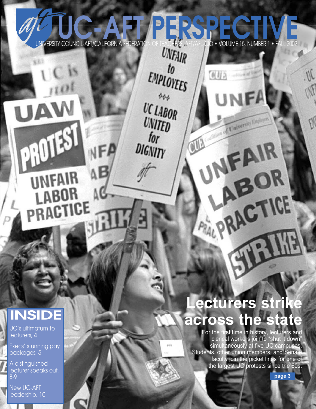# UNIVERSITY COUNCIL-AFT/CALIFORNIA FEDERATION OF TEACHERS. AFT/AFL-CIO • VOLUME 15, NUMBER 1 • FAL VAFL-CIO • VOLUME 15, NUMBER 1 • FALL 2002

 $t<sub>0</sub>$ 

制服品

UNFA

FAIR

ABOR

THE

**ANGELICE** 

all'alliance de la Compagne de la Carte de la Carte de la Carte de la Carte de la Carte de la Carte de la Carte

EMPLOYEES

 $\phi_{\phi\phi}$ 

**UC LABOR** 

UNITED

 $for$ 

DIGNITY

# **INSIDE**

UAW

PROTEST

**UNFAIR** 

LABOR

PRACTICE

AB

UC's ultimatum to lecturers, 4

Execs' stunning pay packages, 5

A distinguished lecturer speaks out, 8-9

New UC-AFT leadership, 10

# **Lecturers strike across the state**

For the first time in history, lecturers and clerical workers join to "shut it down" simultaneously at five UC campuses. Students, other union members, and Senate faculty join the picket lines for one of the largest UC protests since the 60s.

**page 3**

 $M$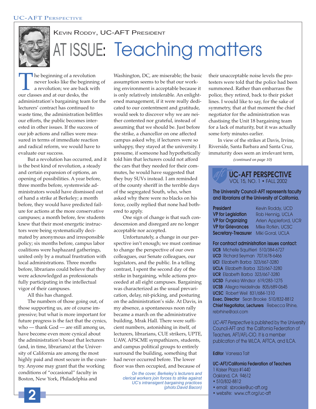

# KEVIN RODDY, UC-AFT PRESIDENT AT ISSUE**:** Teaching matters

The beginning of a revolution<br>never looks like the beginning<br>a revolution; we are back wi<br>our classes and at our desks, the never looks like the beginning of a revolution; we are back with administration's bargaining team for the lecturers' contract has continued to waste time, the administration belittles our efforts, the public becomes interested in other issues. If the success of our job actions and rallies were measured in terms of immediate reaction and radical reform, we would have to evaluate our success.

But a revolution has occurred, and it is the best kind of revolution, a steady and certain expansion of options, an opening of possibilities. A year before, three months before, systemwide administrators would have dismissed out of hand a strike at Berkeley; a month before, they would have predicted failure for actions at the more conservative campuses; a month before, few students knew that their most energetic instructors were being systematically decimated by anonymous and irresponsible policy; six months before, campus labor coalitions were haphazard gatherings, united only by a mutual frustration with local administrations. Three months before, librarians could believe that they were acknowledged as professionals fully participating in the intellectual vigor of their campuses.

All this has changed.

The numbers of those going out, of those supporting us, are of course impressive; but what is more important for future progress is the fact that the cynics, who — thank God — are still among us, have become even more cynical about the administration's boast that lecturers (and, in time, librarians) at the University of California are among the most highly paid and most secure in the country. Anyone may grant that the working conditions of "occasional'' faculty in Boston, New York, Philadelphia and

Washington, DC, are miserable; the basic assumption seems to be that our working environment is acceptable because it is only relatively intolerable. An enlightened management, if it were really dedicated to our contentment and gratitude, would seek to discover why we are neither contented nor grateful, instead of assuming that we should be. Just before the strike, a chancellor on one affected campus asked why, if lecturers were so unhappy, they stayed at the university. I presume, if someone had hypothetically told him that lecturers could not afford the cars that they needed for their commutes, he would have suggested that they buy SUVs instead. I am reminded of the county sheriff in the terrible days of the segregated South, who, when asked why there were no blacks on his force, coolly replied that none had bothered to apply.

One sign of change is that such condescension and disregard are no longer acceptable nor accepted.

Unfortunately, a change in our perspective isn't enough; we must continue to change the perspective of our own colleagues, our Senate colleagues, our legislators, and the public. In a telling contrast, I spent the second day of the strike in bargaining, while actions proceeded at all eight campuses. Bargaining was characterized as the usual prevarication, delay, nit-picking, and posturing on the administration's side. At Davis, in my absence, a spontaneous noon rally became a march on the administrative building, Mrak Hall. There were sufficient numbers, astonishing in itself, of lecturers, librarians, CUE strikers, UPTE, UAW, AFSCME sympathizers, students, and campus political groups to entirely surround the building, something that had never occurred before. The lower floor was then occupied, and because of

*On the cover, Berkeley's lecturers and clerical workers join forces to strike against UC's intransigent bargaining practices (photo:David Bacon)*

their unacceptable noise levels the protesters were told that the police had been summoned. Rather than embarrass the police, they retired, back to their picket lines. I would like to say, for the sake of symmetry, that at that moment the chief negotiator for the administration was chastising the Unit 18 bargaining team for a lack of maturity, but it was actually some forty minutes earlier.

*(continued on page 10)* In view of the strikes at Davis, Irvine, Riverside, Santa Barbara and Santa Cruz, immaturity does seem an irrelevant term,

#### **UC-AFT PERSPECTIVE** VOL 15, NO. 1 • FALL 2002

#### **The University Council-AFT represents faculty and librarians at the University of California.**

| <b>President</b>           | Kevin Roddy, UCD     |
|----------------------------|----------------------|
| <b>VP for Legislation</b>  | Rob Hennig, UCLA     |
| <b>VP for Organizing</b>   | Arlen Appleford, UCR |
| <b>VP for Grievances</b>   | Mike Rotkin, UCSC    |
| <b>Secretary-Treasurer</b> | Miki Goral, UCLA     |

**For contract administration issues contact:**

**UCB** Michelle Squitieri 510/384-6727 **UCD** Richard Seyman 707/678-6466 **UCI** Elizabeth Barba 323/667-3280 **UCLA** Elizabeth Barba 323/667-3280 **UCR** Elizabeth Barba 323/667-3280 **UCSD** Funeka Windsor 619/283-1275 **UCSB** Allegra Heidelinde 805/689-0645 **UCSC** Robert Weil 831/684-1310 **Exec. Director** Sean Brooke 510/832-8812 **Chief Negotiator, Lecturers** Rebecca Rhine, rebrhine@aol.com

UC-AFT Perspective is published by the University Council-AFT and the California Federation of Teachers, AFT/AFL-CIO. It is a member publication of the WLCA, AFTCA, and ILCA.

#### **Editor** Vanessa Tait

**UC-AFT/California Federation of Teachers** 1 Kaiser Plaza #1440 Oakland, CA 94612

- 510/832-8812
- email: sbrooke@uc-aft.org
- website: www.cft.org/uc-aft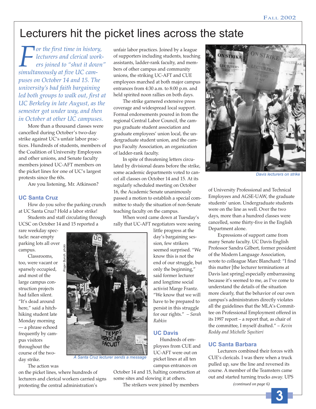# Lecturers hit the picket lines across the state

**For the first time in history,**<br>lecturers and clerical work<br>ers joined to "shut it down<br>simultaneously at five UC cam*lecturers and clerical workers joined to "shut it down" puses on October 14 and 15. The university's bad faith bargaining led both groups to walk out, first at UC Berkeley in late August, as the semester got under way, and then in October at other UC campuses.*

More than a thousand classes were cancelled during October's two-day strike against UC's unfair labor practices. Hundreds of students, members of the Coalition of University Employees and other unions, and Senate faculty members joined UC-AFT members on the picket lines for one of UC's largest protests since the 60s.

Are you listening, Mr. Atkinson?

#### **UC Santa Cruz**

How do you solve the parking crunch at UC Santa Cruz? Hold a labor strike!

Students and staff circulating through UCSC on October 14 and 15 reported a

rare weekday spectacle: near-empty parking lots all over campus.

Classrooms, too, were vacant or sparsely occupied, and most of the large campus construction projects had fallen silent. "It's dead around here," said a hitchhiking student late Monday morning — a phrase echoed frequently by campus visitors throughout the course of the twoday strike.

The action was

on the picket lines, where hundreds of lecturers and clerical workers carried signs protesting the central administration's

unfair labor practices. Joined by a league of supporters including students, teaching assistants, ladder-rank faculty, and members of other campus and community unions, the striking UC-AFT and CUE employees marched at both major campus entrances from 4:30 a.m. to 8:00 p.m. and held spirited noon rallies on both days.

The strike garnered extensive press coverage and widespread local support. Formal endorsements poured in from the regional Central Labor Council, the campus graduate student association and graduate employees' union local, the undergraduate student union, and the campus Faculty Association, an organization of ladder-rank faculty.

In spite of threatening letters circulated by divisional deans before the strike, some academic departments voted to cancel all classes on October 14 and 15. At its regularly scheduled meeting on October 16, the Academic Senate unanimously passed a motion to establish a special committee to study the situation of non-Senate teaching faculty on the campus.

When word came down at Tuesday's rally that UC-AFT negotiators were seeing

> little progress at the day's bargaining session, few strikers seemed surprised. "We know this is not the end of our struggle, but only the beginning," said former lecturer and longtime social activist Marge Frantz. "We know that we will have to be prepared to persist in this struggle for our rights." *– Sarah Rabkin*

#### **UC Davis**

Hundreds of employees from CUE and UC-AFT were out on picket lines at all ten campus entrances on

October 14 and 15, halting construction at some sites and slowing it at others.

The strikers were joined by members



*Davis lecturers on strike*

of University Professional and Technical Employees and AGSE-UAW, the graduate students' union. Undergraduate students were on the line as well. Over the two days, more than a hundred classes were cancelled, some thirty-five in the English Department alone.

Expressions of support came from many Senate faculty. UC Davis English Professor Sandra Gilbert, former president of the Modern Language Association, wrote to colleague Marc Blanchard: "I find this matter [the lecturer terminations at Davis last spring] especially embarrassing because it's seemed to me, as I've come to understand the details of the situation more clearly, that the behavior of our own campus's administrators directly violates all the guidelines that the MLA's Committee on Professional Employment offered in its 1997 report – a report that, as chair of the committee, I myself drafted." – *Kevin Roddy and Michelle Squitieri*

#### **UC Santa Barbara**

Lecturers combined their forces with CUE's clericals. I was there when a truck pulled up, saw the line and reversed its course. A member of the Teamsters came out and started turning trucks away. UPS

*(continued on page 6)*

**3**

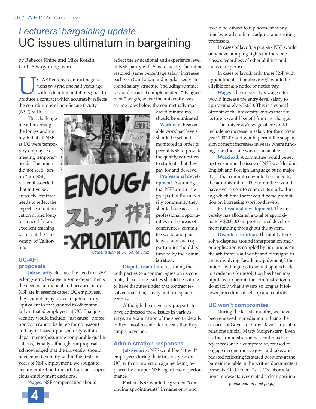# *Lecturers' bargaining update* UC issues ultimatum in bargaining

by Rebecca Rhine and Mike Rotkin, Unit 18 bargaining team

**UC-AFT** entered contract negotiations two and one half years ago with a clear but ambitious goal: to produce a contract which accurately reflects tions two and one half years ago with a clear but ambitious goal: to the contributions of non-Senate faculty (NSF) to UC.

This challenge meant reversing the long-standing myth that all NSF at UC were temporary employees meeting temporary needs. The union did not seek "tenure" for NSF; rather, it asserted that in five key areas, the contract needs to reflect the expertise and dedication of and longterm need for an excellent teaching faculty at the University of California.

#### **UC-AFT proposals**

**Job security.** Because the need for NSF is long-term, because in some departments the need is permanent and because many NSF are in essence career UC employees, they should enjoy a level of job security equivalent to that granted to other similarly-situated employees at UC. That job security would include "just cause" protection (you cannot be let go for no reason) and layoff based upon seniority within departments (assuming comparable qualifications). Finally, although our proposal acknowledged that the university should have more flexibility within the first six years of NSF employment, we sought to ensure protection from arbitrary and capricious employment decisions.

**Wages.** NSF compensation should

reflect the educational and experience level of NSF, parity with Senate faculty should be restored (same percentage salary increases each year) and a fair and regularized yearround salary structure (including summer session) should be implemented. "By agreement" wages, where the university was setting rates below the contractually man-

> dated minimums, should be eliminated.

**Workload.** Reasonable workload levels should be set and monitored in order to permit NSF to provide the quality education to students that they pay for and deserve.

**Professional development.** Assuming that NSF are an integral part of the university community they should have access to professional opportunities in the areas of conferences, committee work, and paid leaves, and such opportunities should be funded by the administration.

#### **Dispute resolution.** Assuming that

both parties to a contract agree on its contents, those same parties should be willing to have disputes under that contract resolved via a fair, timely and transparent process.

Although the university purports to have addressed these issues in various ways, an examination of the specific details of their most recent offer reveals that they simply have not.

#### **Administration responses**

**Job Security.** NSF would be "at will" employees during their first six years at UC, with no protection against being replaced by cheaper NSF regardless of performance.

Post-six NSF would be granted "continuing appointments" in name only, and

would be subject to replacement at any time by grad students, adjunct and visiting professors.

In cases of layoff, a post-six NSF would only have bumping rights for the same classes regardless of other abilities and areas of expertise.

In cases of layoff, only those NSF with appointments at or above 50% would be eligible for *any* notice or notice pay.

**Wages.** The university's wage offer would increase the entry-level salary to approximately \$35,000. This is a cynical offer since the university knows that few lecturers would benefit from the change.

The university's wage offer would include no increase in salary for the current year 2002-03 and would permit the suspension of merit increases in years where funding from the state was not available.

**Workload.** A committee would be set up to examine the issue of NSF workload in English and Foreign Language but a majority of that committee would be named by the administration. The committee would have over a year to conduct its study, during which time there would be no prohibition on increasing workload levels.

**Professional development.** The university has allocated a total of approximately \$200,000 in professional development funding throughout the system.

**Dispute resolution.** The ability to resolve disputes around interpretation and/ or application is crippled by limitations on the arbitrator's authority and oversight. In areas involving "academic judgment," the union's willingness to send disputes back to academics for resolution has been manipulated to permit the administration to do exactly what it wants so long as it follows procedures it sets up and controls.

#### **UC won't compromise**

During the last six months, we have been engaged in mediation utilizing the services of Governor Gray Davis's top labor relations official, Marty Morgenstern. Even so, the administration has continued to reject reasonable compromise, refused to engage in constructive give and take, and resisted reflecting its stated positions at the bargaining table in the written documents it presents. On October 22, UC's labor relations representatives stated a clear position

*(continued on next page)*

*David Bacon, photo* **ENOUGA** ストッフ *Striker's sign at UC Santa Cruz*

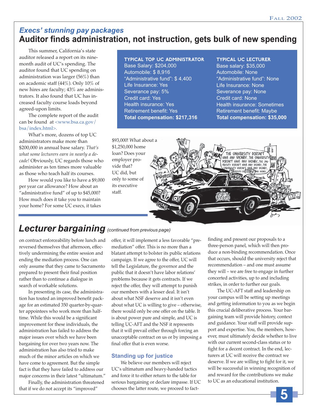### *Execs' stunning pay packages* **Auditor finds administration, not instruction, gets bulk of new spending**

This summer, California's state auditor released a report on its ninemonth audit of UC's spending. The auditor found that UC spending on administration was larger (56%) than on academic staff (44%). Only 10% of new hires are faculty; 43% are administrators. It also found that UC has increased faculty course loads beyond agreed-upon limits.

The complete report of the audit can be found at <www.bsa.ca.gov/ bsa/index.html>.

What's more, dozens of top UC administrators make more than \$200,000 in annual base salary. *That's what some lecturers earn in nearly a decade!* Obviously, UC regards those who administer as ten times more valuable as those who teach half its courses.

How would you like to have a \$9,000 per year car allowance? How about an "administrative fund" of up to \$45,000? How much does it take you to maintain your home? For some UC execs, it takes

#### **Typical Top UC administrator**

Base Salary: \$204,000 Automobile: \$ 8,916 "Administrative fund": \$ 4,400 Life Insurance: Yes Severance pay: 5% Credit card: Yes Health insurance: Yes Retirement benefit: Yes **Total compensation: \$217,316**

\$93,000! What about a \$1,250,000 home loan? Does your employer provide that? UC did, but only to some of its executive staff.

#### **Typical UC lecturer**

Base salary: \$35,000 Automobile: None "Administrative fund": None Life Insurance: None Severance pay: None Credit card: None Health insurance: Sometimes Retirement benefit: Maybe **Total compensation: \$35,000**



### *Lecturer bargaining (continued from previous page)*

on contract enforceability before lunch and reversed themselves that afternoon, effectively undermining the entire session and ending the mediation process. One can only assume that they came to Sacramento prepared to present their final position rather than to continue a dialogue in search of workable solutions.

In presenting its case, the administration has touted an improved benefit package for an estimated 350 quarter-by-quarter appointees who work more than halftime. While this would be a significant improvement for these individuals, the administration has failed to address the major issues over which we have been bargaining for over two years now. The administration has also tried to make much of the minor articles on which we have come to agreement. But the simple fact is that they have failed to address our major concerns in their latest "ultimatum."

Finally, the administration threatened that if we do not accept its "improved"

offer, it will implement a less favorable "premediation" offer. This is no more than a blatant attempt to bolster its public relations campaign. If we agree to the offer, UC will tell the Legislature, the governor and the public that it doesn't have labor relations' problems because it gets contracts. If we reject the offer, they will attempt to punish our members with a lesser deal. It isn't about what NSF deserve and it isn't even about what UC is willing to give – otherwise, there would only be one offer on the table. It is about power pure and simple, and UC is telling UC-AFT and the NSF it represents that it will prevail either through forcing an unacceptable contract on us or by imposing a final offer that is even worse.

#### **Standing up for justice**

We believe our members will reject UC's ultimatum and heavy-handed tactics and force it to either return to the table for serious bargaining or declare impasse. If UC chooses the latter route, we proceed to factfinding and present our proposals to a three-person panel, which will then produce a non-binding recommendation. Once that occurs, should the university reject that recommendation – and one must assume they will – we are free to engage in further concerted activities, up to and including strikes, in order to further our goals.

The UC-AFT staff and leadership on your campus will be setting up meetings and getting information to you as we begin this crucial deliberative process. Your bargaining team will provide history, context and guidance. Your staff will provide support and expertise. You, the members, however, must ultimately decide whether to live with our current second-class status or to fight for a decent contract. In the end, lecturers at UC will receive the contract we deserve. If we are willing to fight for it, we will be successful in winning recognition of and reward for the contributions we make to UC as an educational institution.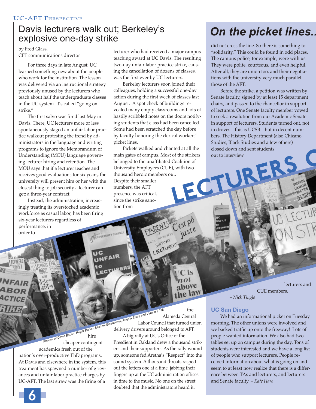## Davis lecturers walk out; Berkeley's explosive one-day strike

by Fred Glass, CFT communications director

For three days in late August, UC learned something new about the people who work for the institution. The lesson was delivered via an instructional strategy previously unused by the lecturers who teach about half the undergraduate classes in the UC system. It's called "going on strike."

The first salvo was fired last May in Davis. There, UC lecturers more or less spontaneously staged an unfair labor practice walkout protesting the trend by administrators in the language and writing programs to ignore the Memorandum of Understanding (MOU) language governing lecturer hiring and retention. The MOU says that if a lecturer teaches and receives good evaluations for six years, the university will present him or her with the closest thing to job security a lecturer can get: a three-year contract.

Instead, the administration, increasingly treating its overstocked academic workforce as casual labor, has been firing six-year lecturers regardless of performance, in order to

lecturer who had received a major campus teaching award at UC Davis. The resulting two-day unfair labor practice strike, causing the cancellation of dozens of classes, was the first ever by UC lecturers.

Berkeley lecturers soon joined their colleagues, holding a successful one-day action during the first week of classes last August. A spot check of buildings revealed many empty classrooms and lots of hastily scribbled notes on the doors notifying students that class had been cancelled. Some had been scratched the day before by faculty honoring the clerical workers' picket lines.

The Strikers out to interview<br>Coalition of<br>It. With two<br>Interview<br>Interview<br>The Strike of the strikers out to interview<br>Interview<br>The Strike of the Strike of the Strike of the Strike of the Strike of the Strike of the Stri Pickets walked and chanted at all the main gates of campus. Most of the strikers belonged to the unaffiliated Coalition of University Employees (CUE), with two thousand heroic members out. Despite their smaller numbers, the AFT presence was critical, since the strike sanction from

C'est pô

# *On the picket lines..*

did not cross the line. So there is something to "solidarity." This could be found in odd places. The campus police, for example, were with us. They were polite, courteous, and even helpful. After all, they are union too, and their negotiations with the university very much parallel those of the AFT.

Before the strike, a petition was written by Senate faculty, signed by at least 15 department chairs, and passed to the chancellor in support of lecturers. One Senate faculty member vowed to seek a resolution from our Academic Senate in support of lecturers. Students turned out, not in droves – this is UCSB – but in decent numbers. The History Department (also Chicano Studies, Black Studies and a few others) closed down and sent students out to interview

hire academics fresh out of the nation's over-productive PhD programs. At Davis and elsewhere in the system, this treatment has spawned a number of grievances and unfair labor practice charges by UC-AFT. The last straw was the firing of a

**6**

**Cheaper Contingent**<br> *Photos by David Bacon, Roger Bunch, Michael Eisenscher, Angela Elsey and Vanessa Tait*<br> *Photos by David Bacon, Roger Bunch, Michael Eisenscher, Angela Elsey and Vanessa Tait*<br> *Photos by David Bacon* the Alameda Central Alameda Central<br>Insc<sup>her, Angela Elsor</sup> Council that turned union delivery drivers around belonged to AFT.

SUPPORT

A big rally at UC's Office of the Presdient in Oakland drew a thousand strikers and their supporters. As the rally wound up, someone fed Aretha's "Respect" into the sound system. A thousand throats rasped out the letters one at a time, jabbing their fingers up at the UC administration offices in time to the music. No one on the street doubted that the administrators heard it.

lecturers and CUE members.

*– Nick Tingle*

#### **UC San Diego**

We had an informational picket on Tuesday morning. The other unions were involved and we backed traffic up onto the freeway! Lots of people wanted information. We also had two tables set up on campus during the day. Tons of students were interested and we have a long list of people who support lecturers. People received information about what is going on and seem to at least now realize that there is a difference between TAs and lecturers, and lecturers and Senate faculty. *– Kate Hare*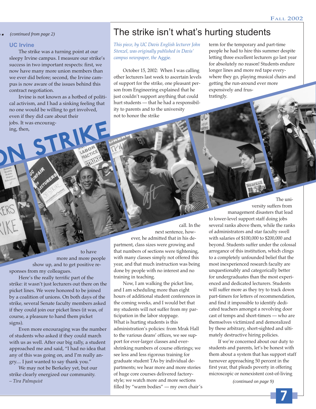#### **UC Irvine**

The strike was a turning point at our sleepy Irvine campus. I measure our strike's success in two important respects: first, we now have many more union members than we ever did before; second, the Irvine campus is now aware of the issues behind this contract negotiation.

Irvine is not known as a hotbed of political activism, and I had a sinking feeling that no one would be willing to get involved, even if they did care about their

jobs. It was encourag-<br>ing, then,<br>**ON STRIKE PRACTICE** jobs. It was encouraging, then,

### *.. (continued from page 2)* The strike isn't what's hurting students

*This piece, by UC Davis English lecturer John Stenzel, was originally published in Davis' campus newspaper, the* Aggie*.*

October 15, 2002: When I was calling other lecturers last week to ascertain levels of support for the strike, one pleasant person from Engineering explained that he just couldn't support anything that could hurt students — that he had a responsibility to parents and to the university not to honor the strike

term for the temporary and part-time people he had to hire this summer despite letting three excellent lecturers go last year for absolutely no reason! Students endure longer lines and more red tape everywhere they go, playing musical chairs and getting the run-around ever more expensively and frustratingly.

to have more and more people show up, and to get positive responses from my colleagues.

Here's the really terrific part of the strike: it wasn't just lecturers out there on the picket lines. We were honored to be joined by a coalition of unions. On both days of the strike, several Senate faculty members asked if they could join our picket lines (it was, of course, a pleasure to hand them picket signs).

Even more encouraging was the number of students who asked if they could march with us as well. After our big rally, a student approached me and said, "I had no idea that any of this was going on, and I'm really angry.... I just wanted to say thank you."

We may not be Berkeley yet, but our strike clearly energized our community. *– Tira Palmquist*

call. In the next sentence, however, he admitted that in his department, class sizes were growing and that numbers of sections were tightening, with many classes simply not offered this year, and that much instruction was being done by people with no interest and no training in teaching.

Now, I am walking the picket line, and I am scheduling more than eight hours of additional student conferences in the coming weeks, and I would bet that my students will not suffer from my participation in the labor stoppage. What is hurting students is this administration's policies: from Mrak Hall to the various deans' offices, we see support for ever-larger classes and evershrinking numbers of course offerings; we see less and less rigorous training for graduate student TAs by individual departments; we hear more and more stories of huge core courses delivered factorystyle; we watch more and more sections filled by "warm bodies" — my own chair's

The university suffers from management disasters that lead

to lower-level support staff doing jobs several ranks above them, while the ranks of administrators and star faculty swell with salaries of \$100,000 to \$200,000 and beyond. Students suffer under the colossal arrogance of this institution, which clings to a completely unfounded belief that the most inexperienced research faculty are unquestionably and categorically better for undergraduates than the most experienced and dedicated lecturers. Students will suffer more as they try to track down part-timers for letters of recommendation, and find it impossible to identify dedicated teachers amongst a revolving door cast of temps and short-timers — who are themselves victimized and demoralized by these arbitrary, short-sighted and ultimately destructive hiring policies.

If we're concerned about our duty to students and parents, let's be honest with them about a system that has support staff turnover approaching 50 percent in the first year, that pleads poverty in offering microscopic or nonexistent cost-of-living

 *(continued on page 9)*

**7**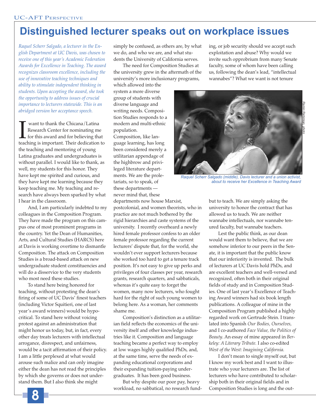# **Distinguished lecturer speaks out on workplace issues**

*Raquel Scherr Salgado, a lecturer in the English Department at UC Davis, was chosen to receive one of this year's Academic Federation Awards for Excellence in Teaching. The award recognizes classroom excellence, including the use of innovative teaching techniques and ability to stimulate independent thinking in students. Upon accepting the award, she took the opportunity to address issues of crucial importance to lecturers statewide. This is an abridged version her acceptance speech.*

**IVEN** want to thank the Chicana/Latina<br>Research Center for nominating me<br>for this award and for believing that<br>teaching is important. Their dedication to want to thank the Chicana/Latina Research Center for nominating me for this award and for believing that the teaching and mentoring of young Latina graduates and undergraduates is without parallel. I would like to thank, as well, my students for this honor. They have kept me spirited and curious, and they have kept me learning because they keep teaching me. My teaching and research have always been sparked by what I hear in the classroom.

And, I am particularly indebted to my colleagues in the Composition Program. They have made the program on this campus one of most prominent programs in the country. Yet the Dean of Humanities, Arts, and Cultural Studies (HARCS) here at Davis is working overtime to dismantle Composition. The attack on Composition Studies is a broad-based attack on new undergraduate student constituencies and will do a disservice to the very students who most need these studies.

To stand here being honored for teaching, without protesting the dean's firing of some of UC Davis' finest teachers (including Victor Squitieri, one of last year's award winners) would be hypocritical. To stand here without voicing protest against an administration that might honor us today, but, in fact, every other day treats lecturers with intellectual arrogance, disrespect, and unfairness, would be a tacit affirmation of their policy. I am a little perplexed at what would arouse such malice and can only imagine either the dean has not read the principles by which she governs or does not understand them. But I also think she might

simply be confused, as others are, by what we do, and who we are, and what students the University of California serves.

The need for Composition Studies at the university grew in the aftermath of the university's more inclusionary programs,

which allowed into the system a more diverse group of students with diverse language and writing needs. Composition Studies responds to a modern and multi-ethnic population.

Composition, like language learning, has long been considered merely a utilitarian appendage of the highbrow and privileged literature departments. We are the proletariats, so to speak, of these departments never mind that, these

departments now house Marxist, postcolonial, and women theorists, who in practice are not much bothered by the rigid hierarchies and caste systems of the university. I recently overheard a newly hired female professor confess to an older female professor regarding the current lecturers' dispute that, for the world, she wouldn't ever support lecturers because she worked too hard to get a tenure track position. It's not easy to give up perks and privileges of four classes per year, research grants, research quarters, and sabbaticals, whereas it's quite easy to forget the women, many now lecturers, who fought hard for the right of such young women to belong here. As a woman, her comments shame me.

Composition's distinction as a utilitarian field reflects the economics of the university itself and other knowledge industries like it. Composition and language teaching became a perfect way to employ at low wages highly qualified PhDs, and, at the same time, serve the needs of expanding educational corporations and their expanding tuition-paying undergraduates. It has been good business.

But why despite our poor pay, heavy workload, no sabbatical, no research fund-

ing, or job security should we accept such exploitation and abuse? Why would we invite such opprobrium from many Senate faculty, some of whom have been calling us, following the dean's lead, "intellectual wannabes"? What we want is not tenure



*Raquel Scherr Salgado (middle), Davis lecturer and a union activist, about to receive her Excellence in Teaching Award*

but to teach. We are simply asking the university to honor the contract that has allowed us to teach. We are neither wannabe intellectuals, nor wannabe tenured faculty, but wannabe teachers.

Lest the public think, as our dean would want them to believe, that we are somehow inferior to our peers in the Senate, it is important that the public know that our inferiority is invented. The bulk of lecturers at UC Davis hold PhDs, and are excellent teachers and well-versed and recognized, often both in their original fields of study and in Composition Studies. One of last year's Excellence of Teaching Award winners had six book length publications. A colleague of mine in the Composition Program published a highly regarded work on Gertrude Stein. I translated into Spanish *Our Bodies, Ourselves,* and I co-authored *Face Value, the Politics of Beauty*. An essay of mine appeared in *Berkeley: A Literary Tribute.* I also co-edited *West of the West: Imagining California.*

I don't mean to single myself out, but I know my work best and I want to illustrate who your lecturers are. The list of lecturers who have contributed to scholarship both in their original fields and in Composition Studies is long and the out-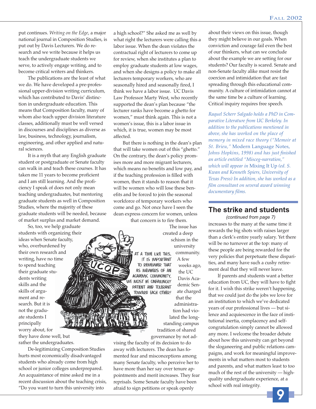put continues. *Writing on the Edge*, a major national journal in Composition Studies, is put out by Davis Lecturers. We do research and we write because it helps us teach the undergraduate students we serve, to actively engage writing, and to become critical writers and thinkers.

The publications are the least of what we do. We have developed a pre-professional upper-division writing curriculum, which has contributed to Davis' distinction in undergraduate education. This means that Composition faculty, many of whom also teach upper division literature classes, additionally must be well versed in discourses and disciplines as diverse as law, business, technology, journalism, engineering, and other applied and natural sciences.

It is a myth that any English graduate student or postgraduate or Senate faculty can walk in and teach these courses. It has taken me 11 years to become proficient and I am still learning. And the proficiency I speak of does not only mean teaching undergraduates, but mentoring graduate students as well in Composition Studies, where the majority of these graduate students will be needed, because of market surplus and market demand.

So, too, we help graduate students with organizing their ideas when Senate faculty, who, overburdened by their own research and writing, have no time to spend teaching their graduate students writing skills and the skills of argument and research. But it is not the graduate students I principally worry about, for

they have done well, but rather the undergraduates.

De-legitimizing Composition Studies hurts most economically disadvantaged students who already come from high school or junior colleges underprepared. An acquaintance of mine asked me in a recent discussion about the teaching crisis, "Do you want to turn this university into

a high school?" She asked me as well by what right the lecturers were calling this a labor issue. When the dean violates the contractual right of lecturers to come up for review, when she institutes a plan to employ graduate students at low wages, and when she designs a policy to make all lecturers temporary workers, who are seasonally hired and seasonally fired, I think we have a labor issue. UC Davis Law Professor Marty West, who recently supported the dean's plan because "the lecturer ranks have become a ghetto for women," must think again. This is not a women's issue, this is a labor issue in which, it is true, women may be most affected.

But there is nothing in the dean's plan that will take women out of this "ghetto." On the contrary, the dean's policy promises more and more migrant lecturers, which means no benefits and low pay, and if the teaching profession is filled with women, then it stands to reason that it will be women who will lose these benefits and be forced to join the seasonal workforce of temporary workers who come and go. Not once have I seen the dean express concern for women, unless

that concern is to fire them. The issue has

> ACADEMIC COMMUNITY, MUST BE UNFAILINGLY PATIENT AND TOLERANT TOWARD EACH OTHER!

created a deep schism in the university community. A TIME LIKE THIS. A few IT IS IMPORTANT TO REMEMBER THAT weeks ago, AS MEMBERS OF AN

the UC Davis Academic Senate charged that the administration had violated the longstanding campus

tradition of shared governance by not ad-

vising the faculty of its decision to do away with lecturers. The dean has fomented fear and misconceptions among many Senate faculty, who perceive her to have more than her say over tenure appointments and merit increases. They fear reprisals. Some Senate faculty have been afraid to sign petitions or speak openly

about their views on this issue, though they might believe in our goals. When conviction and courage fail even the best of our thinkers, what can we conclude about the example we are setting for our students? Our faculty is scared. Senate and non-Senate faculty alike must resist the coercion and intimidation that are fast spreading through this educational community. A culture of intimidation cannot at the same time be a culture of learning. Critical inquiry requires free speech.

*Raquel Scherr Salgado holds a PhD in Comparative Literature from UC Berkeley. In addition to the publications mentioned in above, she has worked on the place of memory in mixed race theory ("Memoir at St. Brieu,"* Modern Language Notes, *Johns Hopkins, 1998) and has just finished an article entitled "Misceg-narration," which will appear in* Mixing It Up *(ed. S. Kwan and Kenneth Spiers, University of Texas Press) In addition, she has worked as a film consultant on several award winning documentary films.*

#### **The strike and students**

increases to the many at the same time it rewards the big shots with raises larger than a clerk's entire yearly salary. Yet there will be no turnover at the top: many of these people are being rewarded for the very policies that perpetuate these disparities, and many have such a cushy retirement deal that they will never leave. *(continued from page 7)*

If parents and students want a better education from UC, they will have to fight for it. I wish this strike weren't happening, that we could just do the jobs we love for an institution to which we've dedicated years of our professional lives — but silence and acquiescence in the face of institutional inertia, complacency and selfcongratulation simply cannot be allowed any more. I welcome the broader debate about how this university can get beyond the sloganeering and public relations campaigns, and work for meaningful improvements in what matters most to students and parents, and what matters least to too much of the rest of the university — highquality undergraduate experience, at a school with real integrity.

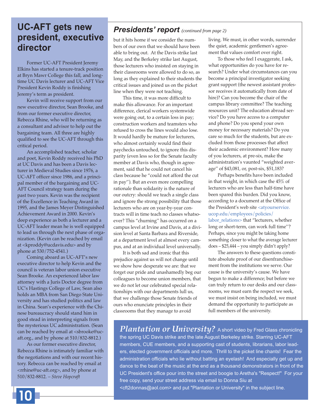## **UC-AFT gets new president, executive director**

Former UC-AFT President Jeremy Elkins has started a tenure-track position at Bryn Mawr College this fall, and longtime UC Davis lecturer and UC-AFT Vice President Kevin Roddy is finishing Jeremy's term as president.

Kevin will receive support from our new executive director, Sean Brooke, and from our former executive director, Rebecca Rhine, who will be returning as a consultant and advisor to help out the bargaining team. All three are highly qualified to see the UC-AFT through this critical period.

An accomplished teacher, scholar and poet, Kevin Roddy received his PhD at UC Davis and has been a Davis lecturer in Medieval Studies since 1976, a UC-AFT officer since 1986, and a principal member of the bargaining and UC-AFT Council strategy team during the past two years. Kevin was the recipient of the Excellence in Teaching Award in 1995, and the James Meyer Distinguished Achievement Award in 2000. Kevin's deep experience as both a lecturer and a UC-AFT leader mean he is well equipped to lead us through the next phase of organization. (Kevin can be reached by email at <kproddy@ucdavis.edu> and by phone at 530/752-4541.)

Coming aboard as UC-AFT's new executive director to help Kevin and the council is veteran labor union executive Sean Brooke. An experienced labor law attorney with a Juris Doctor degree from UC's Hastings College of Law, Sean also holds an MBA from San Diego State University and has studied politics and law in China. Sean's experience with the Chinese bureaucracy should stand him in good stead in interpreting signals from the mysterious UC administration. (Sean can be reached by email at <sbrooke@ucaft.org., and by phone at 510/832-8812.)

As our former executive director, Rebecca Rhine is intimately familiar with the negotiations and with our recent history. Rebecca can be reached by email at <rrhine@uc-aft.org>, and by phone at 510/832-8812. *– Steve Hopcraft*

### *Presidents' report (continued from page 2)*

but it hits home if we consider the numbers of our own that we should have been able to bring out. At the Davis strike last May, and the Berkeley strike last August, those lecturers who insisted on staying in their classrooms were allowed to do so, as long as they explained to their students the critical issues and joined us on the picket line when they were not teaching.

This time, it was more difficult to make this allowance. For an important difference, clerical workers systemwide were going out, to a certain loss in pay; construction workers and teamsters who refused to cross the lines would also lose. It would hardly be mature for lecturers, who almost certainly would find their paychecks untouched, to ignore this disparity (even less so for the Senate faculty member at Davis who, though in agreement, said that he could not cancel his class because he "could not afford the cut in pay''). But an even more compelling rationale than solidarity is the nature of our outcry: should we teach a single class and ignore the strong possibility that those lecturers who are on year-by-year contracts will in time teach no classes whatsoever? This "churning'' has occurred on a campus level at Irvine and Davis, at a division level at Santa Barbara and Riverside, at a department level at almost every campus, and at an individual level universally.

It is both sad and ironic that this prejudice against us will not change until we show how desperate we are: that we forget our pride and unashamedly beg our colleagues to become union members, that we do not let our celebrated special relationships with our departments lull us, that we challenge those Senate friends of ours who enunciate principles in their classrooms that they manage to avoid

living. We must, in other words, surrender the quiet, academic gentlemen's agreement that values comfort over right.

To those who feel I exaggerate, I ask, what opportunities do you have for research? Under what circumstances can you become a principal investigator seeking grant support (the newest assistant professor receives it automatically from date of hire)? Can you become the chair of the campus library committee? The teaching resources unit? The education abroad service? Do you have access to a computer and phone? Do you spend your own money for necessary materials? Do you care so much for the students, but are excluded from those processes that affect their academic environment? How many of you lecturers, at pre-six, make the administration's vaunted "weighted average'' of \$43,081, or, post-six, \$51,183?

Perhaps benefits have been included in that weight, in which case the 45% of lecturers who are less than half-time have been spared this burden. Did you know, according to a document at the Office of the President's web site <atyourservice. ucop.edu/employees/policies/ labor\_relations> that "lecturers, whether long or short-term, can work full time''? Perhaps, since you might be taking home something closer to what the average lecturer does – \$25,444 – you simply didn't apply?

The answers to these questions constitute absolute proof of our disenfranchisement from the institutions we serve. Our cause is the university's cause. We have begun to make a difference; but before we can truly return to our desks and our classrooms, we must earn the respect we seek, we must insist on being included, we must demand the opportunity to participate as full members of the university.

*Plantation or University?* A short video by Fred Glass chronicling the spring UC Davis strike and the late August Berkeley strike. Starring UC-AFT members, CUE members, and a supporting cast of students, librarians, labor leaders, elected government officials and more. Thrill to the picket line chants! Fear the administration officials who lie without batting an eyelash! And especially get up and dance to the beat of the music at the end as a thousand demonstrators in front of the UC President's office pour into the street and boogie to Aretha's "Respect!" For your free copy, send your street address via email to Donna Siu at <cft2donnas@aol.com> and put "Plantation or University" in the subject line.

**10**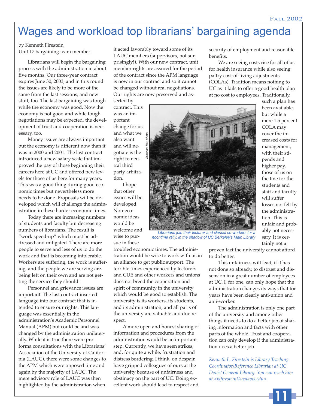# Wages and workload top librarians' bargaining agenda

by Kenneth Firestein, Unit 17 bargaining team member

Librarians will begin the bargaining process with the administration in about five months. Our three-year contract expires June 30, 2003, and in this round the issues are likely to be more of the same from the last sessions, and new stuff, too. The last bargaining was tough while the economy was good. Now the economy is not good and while tough negotiations may be expected, the development of trust and cooperation is necessary, too.

Money issues are always important but the economy is different now than it was in 2000 and 2001. The last contract introduced a new salary scale that improved the pay of those beginning their careers here at UC and offered new levels for those of us here for many years. This was a good thing during good economic times but nevertheless more needs to be done. Proposals will be developed which will challenge the administration in these harder economic times.

Today there are increasing numbers of students and faculty but decreasing numbers of librarians. The result is "work speed-up" which must be addressed and mitigated. There are more people to serve and less of us to do the work and that is becoming intolerable. Workers are suffering, the work is suffering, and the people we are serving are being left on their own and are not getting the service they should!

Personnel and grievance issues are important. The last contract inserted language into our contract that is intended to ensure our rights. This language was essentially in the administration's Academic Personnel Manual (APM) but could be and was changed by the administration unilaterally. While it is true there were pro forma consultations with the Librarians' Association of the University of California (LAUC), there were some changes to the APM which were opposed time and again by the majority of LAUC. The mere advisory role of LAUC was then highlighted by the administration when

it acted favorably toward some of its LAUC members (supervisors, not surprisingly!). With our new contract, unit member rights are assured for the period of the contract since the APM language is now in our contract and so it cannot be changed without real negotiations. Our rights are now preserved and asserted by

contract. This was an important change for us and what we also want and will negotiate is the right to neutral third party arbitration.

I hope that other issues will be developed. Non-economic ideas would be welcome and wise to pursue in these



*Librarians join their lecturer and clerical co-workers for a noontime rally, in the shadow of UC Berkeley's Main Library*

troubled economic times. The administration would be wise to work with us in an alliance to get public support. The terrible times experienced by lecturers and CUE and other workers and unions does not breed the cooperation and spirit of community in the university which would be good to establish. The university is its workers, its students, and its administration, and all parts of the university are valuable and due respect.

A more open and honest sharing of information and procedures from the administration would be an important step. Currently, we have seen strikes, and, for quite a while, frustration and distress bordering, I think, on despair, have gripped colleagues of ours at the university because of unfairness and obstinacy on the part of UC. Doing excellent work should lead to respect and

security of employment and reasonable benefits.

We are seeing costs rise for all of us for health insurance while also seeing paltry cost-of-living adjustments (COLAs). Tradition means nothing to UC as it fails to offer a good health plan at no cost to employees. Traditionally,

> such a plan has been available, but while a mere 1.5 percent COLA may cover the increased costs for management, with their stipends and higher pay, those of us on the line for the students and staff and faculty will suffer losses not felt by the administration. This is unfair and probably not necessary. It is certainly not a

proven fact the university cannot afford to do better.

This unfairness will lead, if it has not done so already, to distrust and dissension in a great number of employees at UC. I, for one, can only hope that the administration changes its ways that for years have been clearly anti-union and anti-worker.

The administration is only one part of the university and among other things it needs to do a better job of sharing information and facts with other parts of the whole. Trust and cooperation can only develop if the administration does a better job.

*Kenneth L. Firestein is Library Teaching Coordinator/Reference Librarian at UC Davis' General Library. You can reach him at <klfirestein@ucdavis.edu>.*